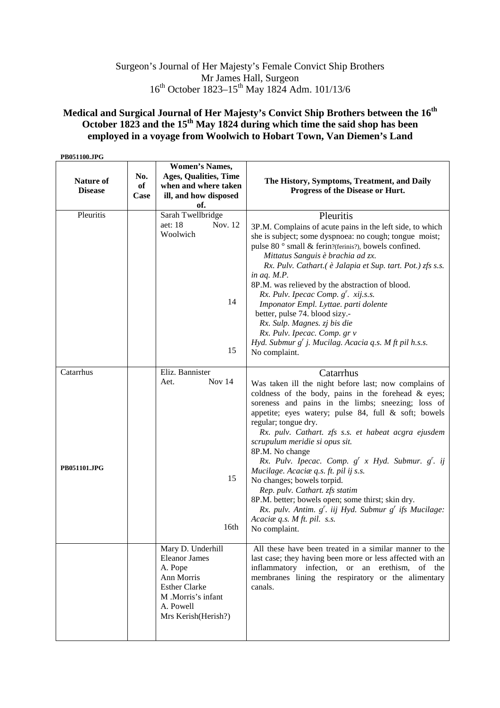## Surgeon's Journal of Her Majesty's Female Convict Ship Brothers Mr James Hall, Surgeon 16<sup>th</sup> October 1823–15<sup>th</sup> May 1824 Adm. 101/13/6

## **Medical and Surgical Journal of Her Majesty's Convict Ship Brothers between the 16th October 1823 and the 15th May 1824 during which time the said shop has been employed in a voyage from Woolwich to Hobart Town, Van Diemen's Land**

| PB051100.JPG                       |                   |                                                                                                                                                      |                                                                                                                                                                                                                                                                                                                                                                                                                                  |
|------------------------------------|-------------------|------------------------------------------------------------------------------------------------------------------------------------------------------|----------------------------------------------------------------------------------------------------------------------------------------------------------------------------------------------------------------------------------------------------------------------------------------------------------------------------------------------------------------------------------------------------------------------------------|
| <b>Nature of</b><br><b>Disease</b> | No.<br>of<br>Case | <b>Women's Names,</b><br><b>Ages, Qualities, Time</b><br>when and where taken<br>ill, and how disposed<br>of.                                        | The History, Symptoms, Treatment, and Daily<br>Progress of the Disease or Hurt.                                                                                                                                                                                                                                                                                                                                                  |
| Pleuritis                          |                   | Sarah Twellbridge                                                                                                                                    | Pleuritis                                                                                                                                                                                                                                                                                                                                                                                                                        |
|                                    |                   | Nov. 12<br>aet: 18<br>Woolwich                                                                                                                       | 3P.M. Complains of acute pains in the left side, to which<br>she is subject; some dyspnoea: no cough; tongue moist;<br>pulse 80° small & ferin?(ferinis?), bowels confined.<br>Mittatus Sanguis è brachia ad zx.<br>Rx. Pulv. Cathart.( è Jalapia et Sup. tart. Pot.) zfs s.s.                                                                                                                                                   |
|                                    |                   | 14                                                                                                                                                   | in aq. M.P.<br>8P.M. was relieved by the abstraction of blood.<br>Rx. Pulv. Ipecac Comp. $g'$ . xij.s.s.<br>Imponator Empl. Lyttae. parti dolente<br>better, pulse 74. blood sizy.-<br>Rx. Sulp. Magnes. zj bis die<br>Rx. Pulv. Ipecac. Comp. gr v                                                                                                                                                                              |
|                                    |                   | 15                                                                                                                                                   | Hyd. Submur g' j. Mucilag. Acacia q.s. M ft pil h.s.s.<br>No complaint.                                                                                                                                                                                                                                                                                                                                                          |
| Catarrhus                          |                   | Eliz. Bannister                                                                                                                                      | Catarrhus                                                                                                                                                                                                                                                                                                                                                                                                                        |
|                                    |                   | Nov 14<br>Aet.                                                                                                                                       | Was taken ill the night before last; now complains of<br>coldness of the body, pains in the forehead $\&$ eyes;<br>soreness and pains in the limbs; sneezing; loss of<br>appetite; eyes watery; pulse 84, full & soft; bowels<br>regular; tongue dry.<br>Rx. pulv. Cathart. zfs s.s. et habeat acgra ejusdem<br>scrupulum meridie si opus sit.<br>8P.M. No change<br>Rx. Pulv. Ipecac. Comp. $g^{r}$ x Hyd. Submur. $g^{r}$ . ij |
| PB051101.JPG                       |                   | 15<br>16th                                                                                                                                           | Mucilage. Acacia q.s. ft. pil ij s.s.<br>No changes; bowels torpid.<br>Rep. pulv. Cathart. zfs statim<br>8P.M. better; bowels open; some thirst; skin dry.<br>Rx. pulv. Antim. $g^r$ . iij Hyd. Submur $g^r$ ifs Mucilage:<br>Acaciae q.s. M ft. pil. s.s.<br>No complaint.                                                                                                                                                      |
|                                    |                   | Mary D. Underhill<br><b>Eleanor James</b><br>A. Pope<br>Ann Morris<br><b>Esther Clarke</b><br>M .Morris's infant<br>A. Powell<br>Mrs Kerish(Herish?) | All these have been treated in a similar manner to the<br>last case; they having been more or less affected with an<br>inflammatory infection, or an erethism, of the<br>membranes lining the respiratory or the alimentary<br>canals.                                                                                                                                                                                           |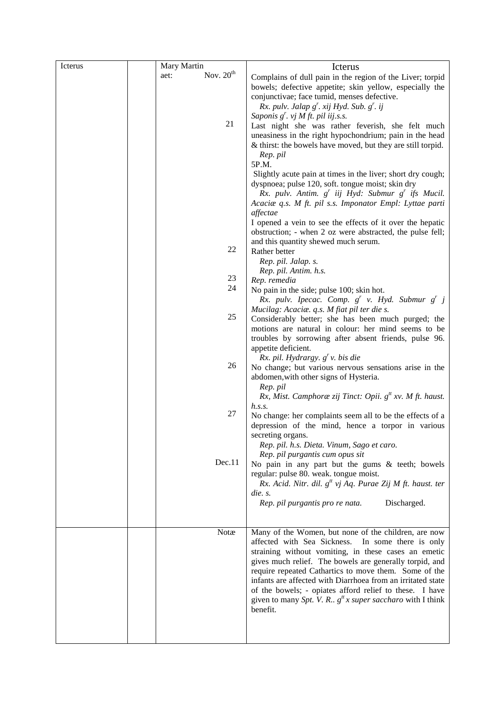| Icterus | Mary Martin |             | Icterus                                                                                                                                                                                                                                                                                                                                                                                                                                                                                           |
|---------|-------------|-------------|---------------------------------------------------------------------------------------------------------------------------------------------------------------------------------------------------------------------------------------------------------------------------------------------------------------------------------------------------------------------------------------------------------------------------------------------------------------------------------------------------|
|         | aet:        | Nov. $20th$ | Complains of dull pain in the region of the Liver; torpid<br>bowels; defective appetite; skin yellow, especially the<br>conjunctivae; face tumid, menses defective.<br>Rx. pulv. Jalap $g'$ . xij Hyd. Sub. $g'$ . ij                                                                                                                                                                                                                                                                             |
|         |             | 21          | Saponis $g'$ . vj M ft. pil iij.s.s.<br>Last night she was rather feverish, she felt much<br>uneasiness in the right hypochondrium; pain in the head<br>& thirst: the bowels have moved, but they are still torpid.<br>Rep. pil<br>5P.M.                                                                                                                                                                                                                                                          |
|         |             |             | Slightly acute pain at times in the liver; short dry cough;<br>dyspnoea; pulse 120, soft. tongue moist; skin dry<br>Rx. pulv. Antim. g <sup>r</sup> iij Hyd: Submur g <sup>r</sup> ifs Mucil.<br>Acaciae q.s. M ft. pil s.s. Imponator Empl: Lyttae parti<br>affectae                                                                                                                                                                                                                             |
|         |             |             | I opened a vein to see the effects of it over the hepatic<br>obstruction; - when 2 oz were abstracted, the pulse fell;<br>and this quantity shewed much serum.                                                                                                                                                                                                                                                                                                                                    |
|         |             | 22          | Rather better<br>Rep. pil. Jalap. s.<br>Rep. pil. Antim. h.s.                                                                                                                                                                                                                                                                                                                                                                                                                                     |
|         |             | 23          | Rep. remedia                                                                                                                                                                                                                                                                                                                                                                                                                                                                                      |
|         |             | 24          | No pain in the side; pulse 100; skin hot.                                                                                                                                                                                                                                                                                                                                                                                                                                                         |
|         |             |             | Rx. pulv. Ipecac. Comp. $g^{r}$ v. Hyd. Submur $g^{r}$ j                                                                                                                                                                                                                                                                                                                                                                                                                                          |
|         |             |             | Mucilag: Acaciæ. q.s. M fiat pil ter die s.                                                                                                                                                                                                                                                                                                                                                                                                                                                       |
|         |             | 25          | Considerably better; she has been much purged; the<br>motions are natural in colour: her mind seems to be<br>troubles by sorrowing after absent friends, pulse 96.<br>appetite deficient.                                                                                                                                                                                                                                                                                                         |
|         |             | 26          | Rx. pil. Hydrargy. $gr$ v. bis die<br>No change; but various nervous sensations arise in the<br>abdomen, with other signs of Hysteria.<br>Rep. pil                                                                                                                                                                                                                                                                                                                                                |
|         |             |             | Rx, Mist. Camphorae zij Tinct: Opii. $gtt xv$ . M ft. haust.<br>h.s.s.                                                                                                                                                                                                                                                                                                                                                                                                                            |
|         |             | 27          | No change: her complaints seem all to be the effects of a<br>depression of the mind, hence a torpor in various<br>secreting organs.                                                                                                                                                                                                                                                                                                                                                               |
|         |             |             | Rep. pil. h.s. Dieta. Vinum, Sago et caro.                                                                                                                                                                                                                                                                                                                                                                                                                                                        |
|         |             | Dec.11      | Rep. pil purgantis cum opus sit<br>No pain in any part but the gums & teeth; bowels<br>regular: pulse 80. weak. tongue moist.                                                                                                                                                                                                                                                                                                                                                                     |
|         |             |             | Rx. Acid. Nitr. dil. $g^{tt}$ vj Aq. Purae Zij M ft. haust. ter                                                                                                                                                                                                                                                                                                                                                                                                                                   |
|         |             |             | die. s.<br>Discharged.<br>Rep. pil purgantis pro re nata.                                                                                                                                                                                                                                                                                                                                                                                                                                         |
|         |             | Notæ        | Many of the Women, but none of the children, are now<br>affected with Sea Sickness.<br>In some there is only<br>straining without vomiting, in these cases an emetic<br>gives much relief. The bowels are generally torpid, and<br>require repeated Cathartics to move them. Some of the<br>infants are affected with Diarrhoea from an irritated state<br>of the bowels; - opiates afford relief to these. I have<br>given to many Spt. V. R., $g^{tt}x$ super saccharo with I think<br>benefit. |
|         |             |             |                                                                                                                                                                                                                                                                                                                                                                                                                                                                                                   |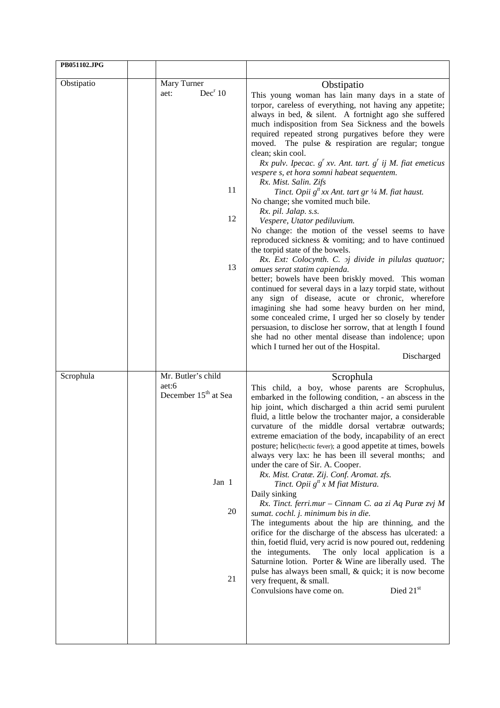| PB051102.JPG |                                                                                      |                                                                                                                                                                                                                                                                                                                                                                                                                                                                                                                                                                                                                                                                                                                                                                                                                                                                                                                                                                                                                                                                                                                                                                                                                                                                                                                                                                                                |
|--------------|--------------------------------------------------------------------------------------|------------------------------------------------------------------------------------------------------------------------------------------------------------------------------------------------------------------------------------------------------------------------------------------------------------------------------------------------------------------------------------------------------------------------------------------------------------------------------------------------------------------------------------------------------------------------------------------------------------------------------------------------------------------------------------------------------------------------------------------------------------------------------------------------------------------------------------------------------------------------------------------------------------------------------------------------------------------------------------------------------------------------------------------------------------------------------------------------------------------------------------------------------------------------------------------------------------------------------------------------------------------------------------------------------------------------------------------------------------------------------------------------|
| Obstipatio   | Mary Turner                                                                          | Obstipatio                                                                                                                                                                                                                                                                                                                                                                                                                                                                                                                                                                                                                                                                                                                                                                                                                                                                                                                                                                                                                                                                                                                                                                                                                                                                                                                                                                                     |
|              | Dec <sup>r</sup> 10<br>aet:<br>11<br>12<br>13                                        | This young woman has lain many days in a state of<br>torpor, careless of everything, not having any appetite;<br>always in bed, & silent. A fortnight ago she suffered<br>much indisposition from Sea Sickness and the bowels<br>required repeated strong purgatives before they were<br>The pulse $\&$ respiration are regular; tongue<br>moved.<br>clean; skin cool.<br>Rx pulv. Ipecac. $g^{r}$ xv. Ant. tart. $g^{r}$ ij M. fiat emeticus<br>vespere s, et hora somni habeat sequentem.<br>Rx. Mist. Salin. Zifs<br>Tinct. Opii $g^t$ xx Ant. tart gr 1/4 M. fiat haust.<br>No change; she vomited much bile.<br>Rx. pil. Jalap. s.s.<br>Vespere, Utator pediluvium.<br>No change: the motion of the vessel seems to have<br>reproduced sickness & vomiting; and to have continued<br>the torpid state of the bowels.<br>Rx. Ext: Colocynth. C. $\sigma j$ divide in pilulas quatuor;<br>omues serat statim capienda.<br>better; bowels have been briskly moved. This woman<br>continued for several days in a lazy torpid state, without<br>any sign of disease, acute or chronic, wherefore<br>imagining she had some heavy burden on her mind,<br>some concealed crime, I urged her so closely by tender<br>persuasion, to disclose her sorrow, that at length I found<br>she had no other mental disease than indolence; upon<br>which I turned her out of the Hospital.<br>Discharged |
| Scrophula    | Mr. Butler's child<br>aet:6<br>December 15 <sup>th</sup> at Sea<br>Jan 1<br>20<br>21 | Scrophula<br>This child, a boy, whose parents are Scrophulus,<br>embarked in the following condition, - an abscess in the<br>hip joint, which discharged a thin acrid semi purulent<br>fluid, a little below the trochanter major, a considerable<br>curvature of the middle dorsal vertabræ outwards;<br>extreme emaciation of the body, incapability of an erect<br>posture; helic(hectic fever); a good appetite at times, bowels<br>always very lax: he has been ill several months; and<br>under the care of Sir. A. Cooper.<br>Rx. Mist. Cratæ. Zij. Conf. Aromat. zfs.<br>Tinct. Opii $g^{tt}$ x M fiat Mistura.<br>Daily sinking<br>Rx. Tinct. ferri.mur - Cinnam C. aa zi Aq Puræ zvj M<br>sumat. cochl. j. minimum bis in die.<br>The integuments about the hip are thinning, and the<br>orifice for the discharge of the abscess has ulcerated: a<br>thin, foetid fluid, very acrid is now poured out, reddening<br>The only local application is a<br>the integuments.<br>Saturnine lotion. Porter & Wine are liberally used. The<br>pulse has always been small, & quick; it is now become<br>very frequent, & small.<br>Died 21st<br>Convulsions have come on.                                                                                                                                                                                                                   |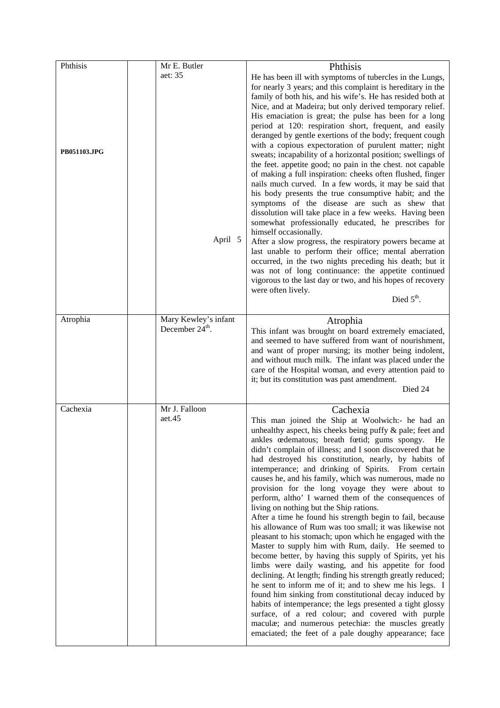| Phthisis     | Mr E. Butler                                        | Phthisis                                                                                                                                                                                                                                                                                                                                                                                                                                                                                                                                                                                                                                                                                                                                                                                                                                                                                                                                                                                                                                                                                                                                                                                                                                                                                                                                                       |
|--------------|-----------------------------------------------------|----------------------------------------------------------------------------------------------------------------------------------------------------------------------------------------------------------------------------------------------------------------------------------------------------------------------------------------------------------------------------------------------------------------------------------------------------------------------------------------------------------------------------------------------------------------------------------------------------------------------------------------------------------------------------------------------------------------------------------------------------------------------------------------------------------------------------------------------------------------------------------------------------------------------------------------------------------------------------------------------------------------------------------------------------------------------------------------------------------------------------------------------------------------------------------------------------------------------------------------------------------------------------------------------------------------------------------------------------------------|
| PB051103.JPG | aet: 35<br>April 5                                  | He has been ill with symptoms of tubercles in the Lungs,<br>for nearly 3 years; and this complaint is hereditary in the<br>family of both his, and his wife's. He has resided both at<br>Nice, and at Madeira; but only derived temporary relief.<br>His emaciation is great; the pulse has been for a long<br>period at 120: respiration short, frequent, and easily<br>deranged by gentle exertions of the body; frequent cough<br>with a copious expectoration of purulent matter; night<br>sweats; incapability of a horizontal position; swellings of<br>the feet. appetite good; no pain in the chest. not capable<br>of making a full inspiration: cheeks often flushed, finger<br>nails much curved. In a few words, it may be said that<br>his body presents the true consumptive habit; and the<br>symptoms of the disease are such as shew that<br>dissolution will take place in a few weeks. Having been<br>somewhat professionally educated, he prescribes for<br>himself occasionally.<br>After a slow progress, the respiratory powers became at<br>last unable to perform their office; mental aberration<br>occurred, in the two nights preceding his death; but it<br>was not of long continuance: the appetite continued<br>vigorous to the last day or two, and his hopes of recovery<br>were often lively.<br>Died $5th$ .               |
| Atrophia     | Mary Kewley's infant<br>December 24 <sup>th</sup> . | Atrophia<br>This infant was brought on board extremely emaciated,<br>and seemed to have suffered from want of nourishment,<br>and want of proper nursing; its mother being indolent,<br>and without much milk. The infant was placed under the<br>care of the Hospital woman, and every attention paid to<br>it; but its constitution was past amendment.<br>Died 24                                                                                                                                                                                                                                                                                                                                                                                                                                                                                                                                                                                                                                                                                                                                                                                                                                                                                                                                                                                           |
| Cachexia     | Mr J. Falloon<br>aet.45                             | Cachexia<br>This man joined the Ship at Woolwich:- he had an<br>unhealthy aspect, his cheeks being puffy & pale; feet and<br>ankles cedematous; breath foetid; gums spongy.<br>He<br>didn't complain of illness; and I soon discovered that he<br>had destroyed his constitution, nearly, by habits of<br>intemperance; and drinking of Spirits. From certain<br>causes he, and his family, which was numerous, made no<br>provision for the long voyage they were about to<br>perform, altho' I warned them of the consequences of<br>living on nothing but the Ship rations.<br>After a time he found his strength begin to fail, because<br>his allowance of Rum was too small; it was likewise not<br>pleasant to his stomach; upon which he engaged with the<br>Master to supply him with Rum, daily. He seemed to<br>become better, by having this supply of Spirits, yet his<br>limbs were daily wasting, and his appetite for food<br>declining. At length; finding his strength greatly reduced;<br>he sent to inform me of it; and to shew me his legs. I<br>found him sinking from constitutional decay induced by<br>habits of intemperance; the legs presented a tight glossy<br>surface, of a red colour; and covered with purple<br>maculæ; and numerous petechiæ: the muscles greatly<br>emaciated; the feet of a pale doughy appearance; face |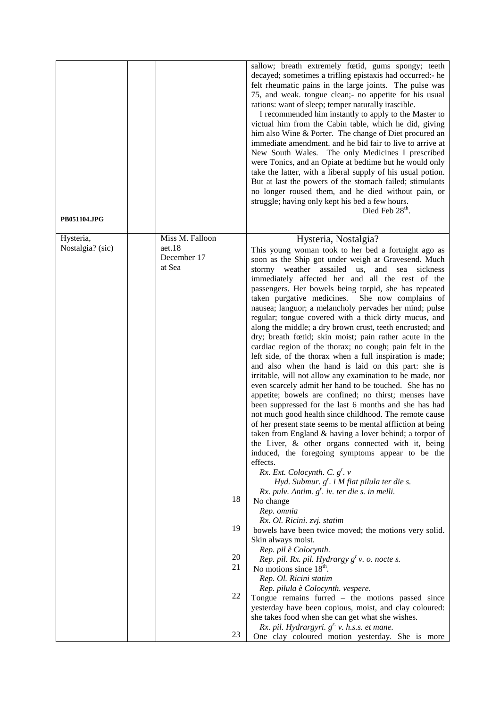| sallow; breath extremely fœtid, gums spongy; teeth<br>decayed; sometimes a trifling epistaxis had occurred:- he<br>felt rheumatic pains in the large joints. The pulse was<br>75, and weak. tongue clean;- no appetite for his usual<br>rations: want of sleep; temper naturally irascible.<br>I recommended him instantly to apply to the Master to<br>victual him from the Cabin table, which he did, giving<br>him also Wine & Porter. The change of Diet procured an<br>immediate amendment. and he bid fair to live to arrive at<br>New South Wales. The only Medicines I prescribed<br>were Tonics, and an Opiate at bedtime but he would only<br>take the latter, with a liberal supply of his usual potion.<br>But at last the powers of the stomach failed; stimulants<br>no longer roused them, and he died without pain, or<br>struggle; having only kept his bed a few hours.<br>Died Feb 28 <sup>th</sup> .<br><b>PB051104.JPG</b><br>Miss M. Falloon<br>Hysteria,<br>Hysteria, Nostalgia?<br>Nostalgia? (sic)<br>aet.18<br>This young woman took to her bed a fortnight ago as<br>December 17<br>soon as the Ship got under weigh at Gravesend. Much<br>at Sea<br>assailed us,<br>stormy weather<br>and<br>sea<br>sickness<br>immediately affected her and all the rest of the<br>passengers. Her bowels being torpid, she has repeated<br>She now complains of<br>taken purgative medicines.<br>nausea; languor; a melancholy pervades her mind; pulse<br>regular; tongue covered with a thick dirty mucus, and<br>along the middle; a dry brown crust, teeth encrusted; and<br>dry; breath fœtid; skin moist; pain rather acute in the<br>cardiac region of the thorax; no cough; pain felt in the<br>left side, of the thorax when a full inspiration is made; |
|---------------------------------------------------------------------------------------------------------------------------------------------------------------------------------------------------------------------------------------------------------------------------------------------------------------------------------------------------------------------------------------------------------------------------------------------------------------------------------------------------------------------------------------------------------------------------------------------------------------------------------------------------------------------------------------------------------------------------------------------------------------------------------------------------------------------------------------------------------------------------------------------------------------------------------------------------------------------------------------------------------------------------------------------------------------------------------------------------------------------------------------------------------------------------------------------------------------------------------------------------------------------------------------------------------------------------------------------------------------------------------------------------------------------------------------------------------------------------------------------------------------------------------------------------------------------------------------------------------------------------------------------------------------------------------------------------------------------------------------------------------------------------------|
|                                                                                                                                                                                                                                                                                                                                                                                                                                                                                                                                                                                                                                                                                                                                                                                                                                                                                                                                                                                                                                                                                                                                                                                                                                                                                                                                                                                                                                                                                                                                                                                                                                                                                                                                                                                 |
|                                                                                                                                                                                                                                                                                                                                                                                                                                                                                                                                                                                                                                                                                                                                                                                                                                                                                                                                                                                                                                                                                                                                                                                                                                                                                                                                                                                                                                                                                                                                                                                                                                                                                                                                                                                 |
|                                                                                                                                                                                                                                                                                                                                                                                                                                                                                                                                                                                                                                                                                                                                                                                                                                                                                                                                                                                                                                                                                                                                                                                                                                                                                                                                                                                                                                                                                                                                                                                                                                                                                                                                                                                 |
| and also when the hand is laid on this part: she is<br>irritable, will not allow any examination to be made, nor<br>even scarcely admit her hand to be touched. She has no<br>appetite; bowels are confined; no thirst; menses have<br>been suppressed for the last 6 months and she has had<br>not much good health since childhood. The remote cause<br>of her present state seems to be mental affliction at being<br>taken from England & having a lover behind; a torpor of<br>the Liver, & other organs connected with it, being<br>induced, the foregoing symptoms appear to be the<br>effects.<br>Rx. Ext. Colocynth. C. $g^r$ . v                                                                                                                                                                                                                                                                                                                                                                                                                                                                                                                                                                                                                                                                                                                                                                                                                                                                                                                                                                                                                                                                                                                                      |
| Hyd. Submur. $g^r$ . i M fiat pilula ter die s.<br>$Rx.$ pulv. Antim. $g'$ . iv. ter die s. in melli.                                                                                                                                                                                                                                                                                                                                                                                                                                                                                                                                                                                                                                                                                                                                                                                                                                                                                                                                                                                                                                                                                                                                                                                                                                                                                                                                                                                                                                                                                                                                                                                                                                                                           |
| 18<br>No change                                                                                                                                                                                                                                                                                                                                                                                                                                                                                                                                                                                                                                                                                                                                                                                                                                                                                                                                                                                                                                                                                                                                                                                                                                                                                                                                                                                                                                                                                                                                                                                                                                                                                                                                                                 |
| Rep. omnia                                                                                                                                                                                                                                                                                                                                                                                                                                                                                                                                                                                                                                                                                                                                                                                                                                                                                                                                                                                                                                                                                                                                                                                                                                                                                                                                                                                                                                                                                                                                                                                                                                                                                                                                                                      |
| Rx. Ol. Ricini. zvj. statim<br>19<br>bowels have been twice moved; the motions very solid.                                                                                                                                                                                                                                                                                                                                                                                                                                                                                                                                                                                                                                                                                                                                                                                                                                                                                                                                                                                                                                                                                                                                                                                                                                                                                                                                                                                                                                                                                                                                                                                                                                                                                      |
| Skin always moist.                                                                                                                                                                                                                                                                                                                                                                                                                                                                                                                                                                                                                                                                                                                                                                                                                                                                                                                                                                                                                                                                                                                                                                                                                                                                                                                                                                                                                                                                                                                                                                                                                                                                                                                                                              |
| Rep. pil è Colocynth.<br>20<br>Rep. pil. Rx. pil. Hydrargy $g'$ v. o. nocte s.                                                                                                                                                                                                                                                                                                                                                                                                                                                                                                                                                                                                                                                                                                                                                                                                                                                                                                                                                                                                                                                                                                                                                                                                                                                                                                                                                                                                                                                                                                                                                                                                                                                                                                  |
| 21<br>No motions since $18th$ .                                                                                                                                                                                                                                                                                                                                                                                                                                                                                                                                                                                                                                                                                                                                                                                                                                                                                                                                                                                                                                                                                                                                                                                                                                                                                                                                                                                                                                                                                                                                                                                                                                                                                                                                                 |
| Rep. Ol. Ricini statim                                                                                                                                                                                                                                                                                                                                                                                                                                                                                                                                                                                                                                                                                                                                                                                                                                                                                                                                                                                                                                                                                                                                                                                                                                                                                                                                                                                                                                                                                                                                                                                                                                                                                                                                                          |
| Rep. pilula è Colocynth. vespere.<br>22<br>Tongue remains furred $-$ the motions passed since                                                                                                                                                                                                                                                                                                                                                                                                                                                                                                                                                                                                                                                                                                                                                                                                                                                                                                                                                                                                                                                                                                                                                                                                                                                                                                                                                                                                                                                                                                                                                                                                                                                                                   |
| yesterday have been copious, moist, and clay coloured:<br>she takes food when she can get what she wishes.                                                                                                                                                                                                                                                                                                                                                                                                                                                                                                                                                                                                                                                                                                                                                                                                                                                                                                                                                                                                                                                                                                                                                                                                                                                                                                                                                                                                                                                                                                                                                                                                                                                                      |
| Rx. pil. Hydrargyri. g <sup>r.</sup> v. h.s.s. et mane.<br>23<br>One clay coloured motion yesterday. She is more                                                                                                                                                                                                                                                                                                                                                                                                                                                                                                                                                                                                                                                                                                                                                                                                                                                                                                                                                                                                                                                                                                                                                                                                                                                                                                                                                                                                                                                                                                                                                                                                                                                                |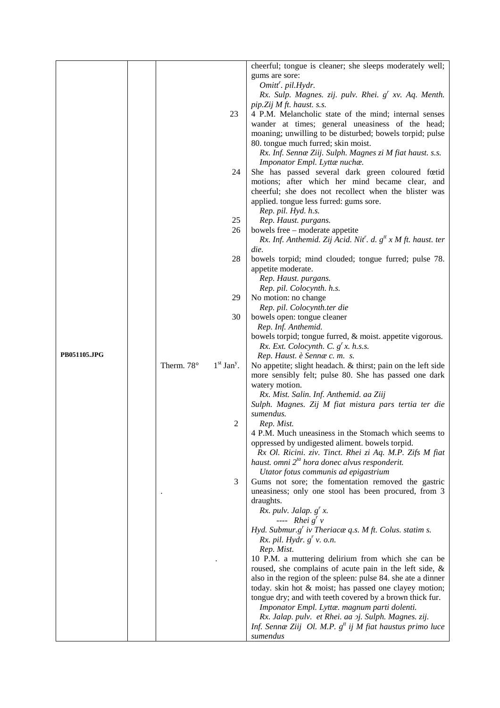|              |            |                          | cheerful; tongue is cleaner; she sleeps moderately well;                |
|--------------|------------|--------------------------|-------------------------------------------------------------------------|
|              |            |                          | gums are sore:                                                          |
|              |            |                          | Omitt <sup>r</sup> . pil.Hydr.                                          |
|              |            |                          |                                                                         |
|              |            |                          | Rx. Sulp. Magnes. zij. pulv. Rhei. g <sup>r</sup> xv. Aq. Menth.        |
|              |            |                          | pip. Zij M ft. haust. s.s.                                              |
|              |            | 23                       | 4 P.M. Melancholic state of the mind; internal senses                   |
|              |            |                          | wander at times; general uneasiness of the head;                        |
|              |            |                          | moaning; unwilling to be disturbed; bowels torpid; pulse                |
|              |            |                          | 80. tongue much furred; skin moist.                                     |
|              |            |                          | Rx. Inf. Sennæ Ziij. Sulph. Magnes zi M fiat haust. s.s.                |
|              |            |                          | Imponator Empl. Lyttænuchæ.                                             |
|              |            | 24                       | She has passed several dark green coloured fœtid                        |
|              |            |                          | motions; after which her mind became clear, and                         |
|              |            |                          | cheerful; she does not recollect when the blister was                   |
|              |            |                          | applied. tongue less furred: gums sore.                                 |
|              |            |                          | Rep. pil. Hyd. h.s.                                                     |
|              |            | 25                       | Rep. Haust. purgans.                                                    |
|              |            | 26                       | bowels free - moderate appetite                                         |
|              |            |                          | Rx. Inf. Anthemid. Zij Acid. Nit'. d. $g^{tt}$ x M ft. haust. ter       |
|              |            |                          | die.                                                                    |
|              |            | 28                       | bowels torpid; mind clouded; tongue furred; pulse 78.                   |
|              |            |                          | appetite moderate.                                                      |
|              |            |                          | Rep. Haust. purgans.                                                    |
|              |            |                          | Rep. pil. Colocynth. h.s.                                               |
|              |            | 29                       | No motion: no change                                                    |
|              |            |                          | Rep. pil. Colocynth.ter die                                             |
|              |            | 30                       | bowels open: tongue cleaner                                             |
|              |            |                          | Rep. Inf. Anthemid.                                                     |
|              |            |                          | bowels torpid; tongue furred, & moist. appetite vigorous.               |
| PB051105.JPG |            |                          | Rx. Ext. Colocynth. C. $g^r x$ . h.s.s.                                 |
|              |            | $1st$ Jan <sup>y</sup> . | Rep. Haust. è Sennæ c. m. s.                                            |
|              | Therm. 78° |                          | No appetite; slight headach. & thirst; pain on the left side            |
|              |            |                          | more sensibly felt; pulse 80. She has passed one dark<br>watery motion. |
|              |            |                          | Rx. Mist. Salin. Inf. Anthemid. aa Ziij                                 |
|              |            |                          | Sulph. Magnes. Zij M fiat mistura pars tertia ter die                   |
|              |            |                          | sumendus.                                                               |
|              |            | 2                        | Rep. Mist.                                                              |
|              |            |                          | 4 P.M. Much uneasiness in the Stomach which seems to                    |
|              |            |                          | oppressed by undigested aliment. bowels torpid.                         |
|              |            |                          | Rx Ol. Ricini. ziv. Tinct. Rhei zi Aq. M.P. Zifs M fiat                 |
|              |            |                          | haust. omni 2 <sup>ta</sup> hora donec alvus responderit.               |
|              |            |                          | Utator fotus communis ad epigastrium                                    |
|              |            | 3                        | Gums not sore; the fomentation removed the gastric                      |
|              |            |                          | uneasiness; only one stool has been procured, from 3                    |
|              |            |                          | draughts.                                                               |
|              |            |                          | Rx. pulv. Jalap. $g^{r}$ x.                                             |
|              |            |                          | ---- $Rhei gr v$                                                        |
|              |            |                          | Hyd. Submur.g' iv Theriacæ q.s. M ft. Colus. statim s.                  |
|              |            |                          | Rx. pil. Hydr. $g'$ v. o.n.                                             |
|              |            |                          | Rep. Mist.                                                              |
|              |            |                          | 10 P.M. a muttering delirium from which she can be                      |
|              |            |                          | roused, she complains of acute pain in the left side, &                 |
|              |            |                          | also in the region of the spleen: pulse 84. she ate a dinner            |
|              |            |                          | today. skin hot & moist; has passed one clayey motion;                  |
|              |            |                          | tongue dry; and with teeth covered by a brown thick fur.                |
|              |            |                          | Imponator Empl. Lyttæ. magnum parti dolenti.                            |
|              |            |                          | Rx. Jalap. pulv. et Rhei. aa 2j. Sulph. Magnes. zij.                    |
|              |            |                          | Inf. Sennæ Ziij Ol. M.P. $g^{tt}$ ij M fiat haustus primo luce          |
|              |            |                          | sumendus                                                                |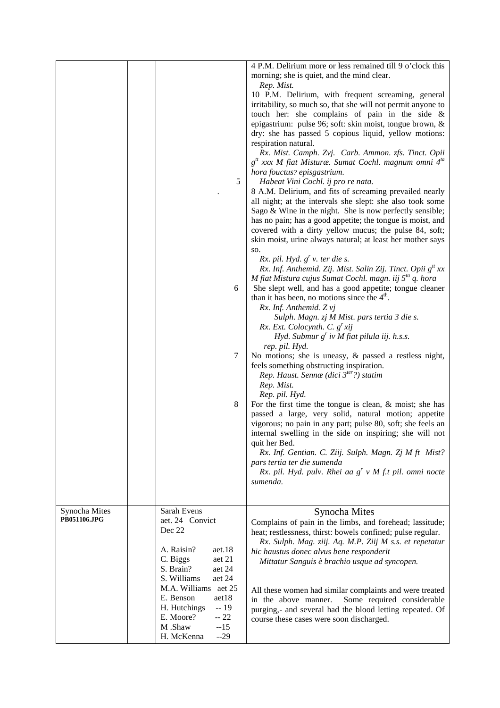|                               |                                                                                       | 4 P.M. Delirium more or less remained till 9 o'clock this<br>morning; she is quiet, and the mind clear.<br>Rep. Mist.                                                                                                                          |
|-------------------------------|---------------------------------------------------------------------------------------|------------------------------------------------------------------------------------------------------------------------------------------------------------------------------------------------------------------------------------------------|
|                               |                                                                                       | 10 P.M. Delirium, with frequent screaming, general<br>irritability, so much so, that she will not permit anyone to                                                                                                                             |
|                               |                                                                                       | touch her: she complains of pain in the side &<br>epigastrium: pulse 96; soft: skin moist, tongue brown, &<br>dry: she has passed 5 copious liquid, yellow motions:                                                                            |
|                               |                                                                                       | respiration natural.<br>Rx. Mist. Camph. Zvj. Carb. Ammon. zfs. Tinct. Opii<br>$gtt$ xxx M fiat Misturæ. Sumat Cochl. magnum omni 4 <sup>ta</sup>                                                                                              |
|                               | 5                                                                                     | hora fouctus? episgastrium.<br>Habeat Vini Cochl. ij pro re nata.                                                                                                                                                                              |
|                               |                                                                                       | 8 A.M. Delirium, and fits of screaming prevailed nearly<br>all night; at the intervals she slept: she also took some                                                                                                                           |
|                               |                                                                                       | Sago & Wine in the night. She is now perfectly sensible;<br>has no pain; has a good appetite; the tongue is moist, and<br>covered with a dirty yellow mucus; the pulse 84, soft;<br>skin moist, urine always natural; at least her mother says |
|                               |                                                                                       | SO.<br>Rx. pil. Hyd. $g'$ v. ter die s.                                                                                                                                                                                                        |
|                               | 6                                                                                     | Rx. Inf. Anthemid. Zij. Mist. Salin Zij. Tinct. Opii g <sup>tt</sup> xx<br>M fiat Mistura cujus Sumat Cochl. magn. iij $5^{ta}$ q. hora<br>She slept well, and has a good appetite; tongue cleaner                                             |
|                               |                                                                                       | than it has been, no motions since the $4th$ .<br>Rx. Inf. Anthemid. Z vj<br>Sulph. Magn. zj M Mist. pars tertia 3 die s.                                                                                                                      |
|                               |                                                                                       | Rx. Ext. Colocynth. C. $g' x i j$<br>Hyd. Submur $g^r$ iv M fiat pilula iij. h.s.s.<br>rep. pil. Hyd.                                                                                                                                          |
|                               | 7                                                                                     | No motions; she is uneasy, $\&$ passed a restless night,<br>feels something obstructing inspiration.<br>Rep. Haust. Sennæ (dici $3ter$ ?) statim<br>Rep. Mist.                                                                                 |
|                               | 8                                                                                     | Rep. pil. Hyd.<br>For the first time the tongue is clean, $\&$ moist; she has                                                                                                                                                                  |
|                               |                                                                                       | passed a large, very solid, natural motion; appetite<br>vigorous; no pain in any part; pulse 80, soft; she feels an<br>internal swelling in the side on inspiring; she will not                                                                |
|                               |                                                                                       | quit her Bed.<br>Rx. Inf. Gentian. C. Ziij. Sulph. Magn. Zj M ft Mist?                                                                                                                                                                         |
|                               |                                                                                       | pars tertia ter die sumenda<br>Rx. pil. Hyd. pulv. Rhei aa $g'$ v M f.t pil. omni nocte<br>sumenda.                                                                                                                                            |
|                               |                                                                                       |                                                                                                                                                                                                                                                |
| Synocha Mites<br>PB051106.JPG | Sarah Evens<br>aet. 24 Convict<br>Dec 22                                              | Synocha Mites<br>Complains of pain in the limbs, and forehead; lassitude;                                                                                                                                                                      |
|                               | A. Raisin?<br>aet.18                                                                  | heat; restlessness, thirst: bowels confined; pulse regular.<br>Rx. Sulph. Mag. ziij. Aq. M.P. Ziij M s.s. et repetatur                                                                                                                         |
|                               | aet 21<br>C. Biggs<br>S. Brain?<br>aet 24<br>S. Williams                              | hic haustus donec alvus bene responderit<br>Mittatur Sanguis è brachio usque ad syncopen.                                                                                                                                                      |
|                               | aet 24<br>M.A. Williams<br>aet 25                                                     | All these women had similar complaints and were treated                                                                                                                                                                                        |
|                               | E. Benson<br>aet18<br>H. Hutchings<br>$-19$<br>E. Moore?<br>$-22$<br>M .Shaw<br>$-15$ | Some required considerable<br>in the above manner.<br>purging,- and several had the blood letting repeated. Of<br>course these cases were soon discharged.                                                                                     |
|                               | $-29$<br>H. McKenna                                                                   |                                                                                                                                                                                                                                                |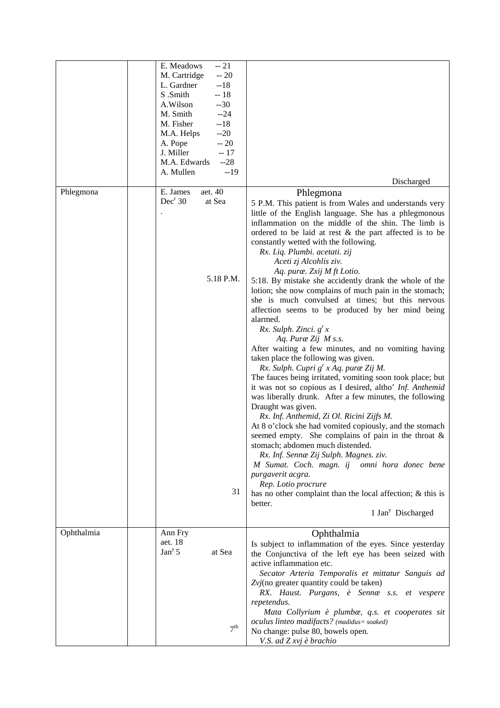|            | E. Meadows<br>$-21$           |                                                            |
|------------|-------------------------------|------------------------------------------------------------|
|            | M. Cartridge<br>$-20$         |                                                            |
|            | L. Gardner<br>$-18$           |                                                            |
|            | S .Smith<br>$-18$             |                                                            |
|            | A.Wilson<br>$-30$             |                                                            |
|            | $-24$<br>M. Smith             |                                                            |
|            | M. Fisher<br>$-18$            |                                                            |
|            | $-20$<br>M.A. Helps           |                                                            |
|            | $-20$<br>A. Pope              |                                                            |
|            | J. Miller<br>$-17$            |                                                            |
|            | M.A. Edwards<br>$-28$         |                                                            |
|            |                               |                                                            |
|            | $-19$<br>A. Mullen            | Discharged                                                 |
| Phlegmona  | aet. 40<br>E. James           |                                                            |
|            | Dec <sup>r</sup> 30<br>at Sea | Phlegmona                                                  |
|            |                               | 5 P.M. This patient is from Wales and understands very     |
|            |                               | little of the English language. She has a phlegmonous      |
|            |                               | inflammation on the middle of the shin. The limb is        |
|            |                               | ordered to be laid at rest $\&$ the part affected is to be |
|            |                               | constantly wetted with the following.                      |
|            |                               | Rx. Liq. Plumbi. acetati. zij                              |
|            |                               | Aceti zj Alcohlis ziv.                                     |
|            |                               | Aq. puræ. Zxij M ft Lotio.                                 |
|            | 5.18 P.M.                     | 5:18. By mistake she accidently drank the whole of the     |
|            |                               | lotion; she now complains of much pain in the stomach;     |
|            |                               | she is much convulsed at times; but this nervous           |
|            |                               | affection seems to be produced by her mind being           |
|            |                               | alarmed.                                                   |
|            |                               | $Rx.$ Sulph. Zinci. $g'x$                                  |
|            |                               | Aq. Puræ Zij M s.s.                                        |
|            |                               |                                                            |
|            |                               | After waiting a few minutes, and no vomiting having        |
|            |                               | taken place the following was given.                       |
|            |                               | Rx. Sulph. Cupri g' x Aq. puræ Zij M.                      |
|            |                               | The fauces being irritated, vomiting soon took place; but  |
|            |                               | it was not so copious as I desired, altho' Inf. Anthemid   |
|            |                               | was liberally drunk. After a few minutes, the following    |
|            |                               | Draught was given.                                         |
|            |                               | Rx. Inf. Anthemid, Zi Ol. Ricini Zijfs M.                  |
|            |                               | At 8 o'clock she had vomited copiously, and the stomach    |
|            |                               | seemed empty. She complains of pain in the throat $\&$     |
|            |                               | stomach; abdomen much distended.                           |
|            |                               | Rx. Inf. Sennæ Zij Sulph. Magnes. ziv.                     |
|            |                               | M Sumat. Coch. magn. ij omni hora donec bene               |
|            |                               | purgaverit acgra.                                          |
|            |                               | Rep. Lotio procrure                                        |
|            | 31                            | has no other complaint than the local affection; & this is |
|            |                               | better.                                                    |
|            |                               | 1 Jan <sup>y</sup> Discharged                              |
|            |                               |                                                            |
| Ophthalmia | Ann Fry                       |                                                            |
|            | aet. 18                       | Ophthalmia                                                 |
|            | Jan <sup>y</sup> 5<br>at Sea  | Is subject to inflammation of the eyes. Since yesterday    |
|            |                               | the Conjunctiva of the left eye has been seized with       |
|            |                               | active inflammation etc.                                   |
|            |                               | Secator Arteria Temporalis et mittatur Sanguis ad          |
|            |                               | Zvj(no greater quantity could be taken)                    |
|            |                               | RX. Haust. Purgans, è Sennæ s.s. et vespere                |
|            |                               | repetendus.                                                |
|            |                               | Mata Collyrium è plumbæ, q.s. et cooperates sit            |
|            |                               | oculus linteo madifacts? (madidus= soaked)                 |
|            | 7 <sup>th</sup>               | No change: pulse 80, bowels open.                          |
|            |                               | V.S. ad Z xvj è brachio                                    |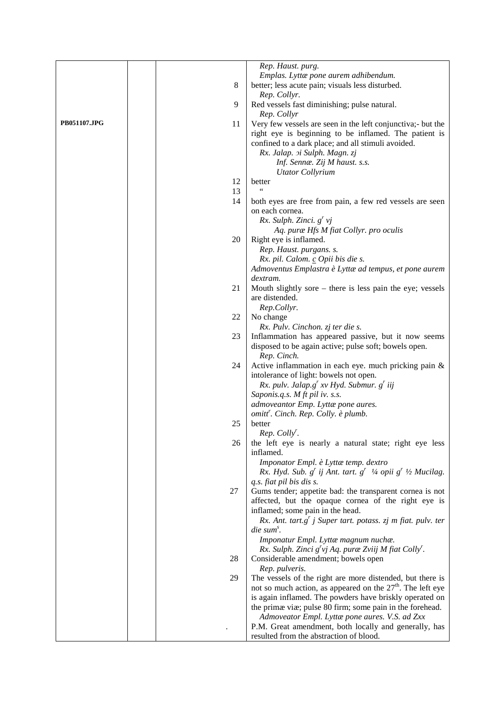|                     |         | Rep. Haust. purg.                                                                    |
|---------------------|---------|--------------------------------------------------------------------------------------|
|                     |         |                                                                                      |
|                     |         | Emplas. Lyttæ pone aurem adhibendum.                                                 |
|                     | $\,8\,$ | better; less acute pain; visuals less disturbed.                                     |
|                     |         | Rep. Collyr.                                                                         |
|                     | 9       | Red vessels fast diminishing; pulse natural.                                         |
|                     |         | Rep. Collyr                                                                          |
| <b>PB051107.JPG</b> | 11      | Very few vessels are seen in the left conjunctiva;- but the                          |
|                     |         | right eye is beginning to be inflamed. The patient is                                |
|                     |         | confined to a dark place; and all stimuli avoided.                                   |
|                     |         | Rx. Jalap. 2i Sulph. Magn. zj                                                        |
|                     |         | Inf. Sennæ. Zij M haust. s.s.                                                        |
|                     |         |                                                                                      |
|                     |         | <b>Utator Collyrium</b>                                                              |
|                     | 12      | better                                                                               |
|                     | 13      |                                                                                      |
|                     | 14      | both eyes are free from pain, a few red vessels are seen                             |
|                     |         | on each cornea.                                                                      |
|                     |         | $Rx.$ Sulph. Zinci. $g'$ vj                                                          |
|                     |         | Aq. puræ Hfs M fiat Collyr. pro oculis                                               |
|                     | 20      | Right eye is inflamed.                                                               |
|                     |         |                                                                                      |
|                     |         | Rep. Haust. purgans. s.                                                              |
|                     |         | Rx. pil. Calom. c Opii bis die s.                                                    |
|                     |         | Admoventus Emplastra è Lyttæ ad tempus, et pone aurem                                |
|                     |         | dextram.                                                                             |
|                     | 21      | Mouth slightly sore – there is less pain the eye; vessels                            |
|                     |         | are distended.                                                                       |
|                     |         | Rep.Collyr.                                                                          |
|                     | 22      | No change                                                                            |
|                     |         | Rx. Pulv. Cinchon. zj ter die s.                                                     |
|                     | 23      | Inflammation has appeared passive, but it now seems                                  |
|                     |         |                                                                                      |
|                     |         | disposed to be again active; pulse soft; bowels open.                                |
|                     |         | Rep. Cinch.                                                                          |
|                     | 24      | Active inflammation in each eye. much pricking pain $\&$                             |
|                     |         | intolerance of light: bowels not open.                                               |
|                     |         | Rx. pulv. Jalap.g <sup>r</sup> xv Hyd. Submur. g <sup>r</sup> iij                    |
|                     |         | Saponis.q.s. M ft pil iv. s.s.                                                       |
|                     |         | admoveantor Emp. Lyttæ pone aures.                                                   |
|                     |         | omitt <sup>r</sup> . Cinch. Rep. Colly. è plumb.                                     |
|                     | 25      | better                                                                               |
|                     |         | Rep. Colly'.                                                                         |
|                     |         |                                                                                      |
|                     | 26      | the left eye is nearly a natural state; right eye less                               |
|                     |         | inflamed.                                                                            |
|                     |         | Imponator Empl. è Lyttæ temp. dextro                                                 |
|                     |         | Rx. Hyd. Sub. $g'$ ij Ant. tart. $g'$ $\frac{1}{4}$ opii $g'$ $\frac{1}{2}$ Mucilag. |
|                     |         | q.s. fiat pil bis dis s.                                                             |
|                     | 27      | Gums tender; appetite bad: the transparent cornea is not                             |
|                     |         | affected, but the opaque cornea of the right eye is                                  |
|                     |         | inflamed; some pain in the head.                                                     |
|                     |         | Rx. Ant. tart.g <sup>r</sup> j Super tart. potass. zj m fiat. pulv. ter              |
|                     |         | $\mathbf{d}$ ie sum $\mathbf{d}$ .                                                   |
|                     |         |                                                                                      |
|                     |         | Imponatur Empl. Lyttæ magnum nuchæ.                                                  |
|                     |         | Rx. Sulph. Zinci $g'vj$ Aq. puræ Zviij M fiat Colly'.                                |
|                     | 28      | Considerable amendment; bowels open                                                  |
|                     |         | Rep. pulveris.                                                                       |
|                     | 29      | The vessels of the right are more distended, but there is                            |
|                     |         | not so much action, as appeared on the $27th$ . The left eye                         |
|                     |         | is again inflamed. The powders have briskly operated on                              |
|                     |         | the primae viae; pulse 80 firm; some pain in the forehead.                           |
|                     |         | Admoveator Empl. Lyttæ pone aures. V.S. ad Zxx                                       |
|                     |         | P.M. Great amendment, both locally and generally, has                                |
|                     |         |                                                                                      |
|                     |         | resulted from the abstraction of blood.                                              |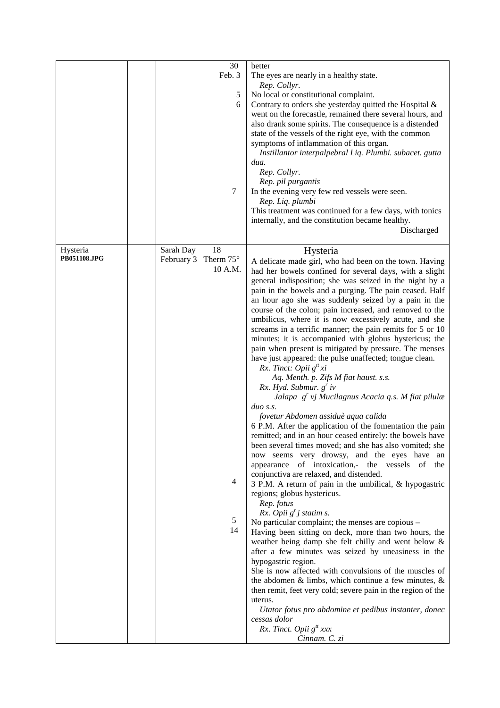|              |            | 30               | better                                                                                                     |
|--------------|------------|------------------|------------------------------------------------------------------------------------------------------------|
|              |            | Feb. 3           | The eyes are nearly in a healthy state.                                                                    |
|              |            |                  | Rep. Collyr.                                                                                               |
|              |            | 5                | No local or constitutional complaint.                                                                      |
|              |            | 6                | Contrary to orders she yesterday quitted the Hospital &                                                    |
|              |            |                  | went on the forecastle, remained there several hours, and                                                  |
|              |            |                  | also drank some spirits. The consequence is a distended                                                    |
|              |            |                  | state of the vessels of the right eye, with the common                                                     |
|              |            |                  | symptoms of inflammation of this organ.                                                                    |
|              |            |                  | Instillantor interpalpebral Liq. Plumbi. subacet. gutta                                                    |
|              |            |                  | dua.                                                                                                       |
|              |            |                  | Rep. Collyr.<br>Rep. pil purgantis                                                                         |
|              |            | 7                | In the evening very few red vessels were seen.                                                             |
|              |            |                  | Rep. Liq. plumbi                                                                                           |
|              |            |                  | This treatment was continued for a few days, with tonics                                                   |
|              |            |                  | internally, and the constitution became healthy.                                                           |
|              |            |                  | Discharged                                                                                                 |
|              |            |                  |                                                                                                            |
| Hysteria     | Sarah Day  | 18               | Hysteria                                                                                                   |
| PB051108.JPG | February 3 | Therm $75^\circ$ | A delicate made girl, who had been on the town. Having                                                     |
|              |            | 10 A.M.          | had her bowels confined for several days, with a slight                                                    |
|              |            |                  | general indisposition; she was seized in the night by a                                                    |
|              |            |                  | pain in the bowels and a purging. The pain ceased. Half                                                    |
|              |            |                  | an hour ago she was suddenly seized by a pain in the                                                       |
|              |            |                  | course of the colon; pain increased, and removed to the                                                    |
|              |            |                  | umbilicus, where it is now excessively acute, and she                                                      |
|              |            |                  | screams in a terrific manner; the pain remits for 5 or 10                                                  |
|              |            |                  | minutes; it is accompanied with globus hystericus; the                                                     |
|              |            |                  | pain when present is mitigated by pressure. The menses                                                     |
|              |            |                  | have just appeared: the pulse unaffected; tongue clean.                                                    |
|              |            |                  | Rx. Tinct: Opii $g^t x$ i<br>Aq. Menth. p. Zifs M fiat haust. s.s.                                         |
|              |            |                  | Rx. Hyd. Submur. $g^r$ iv                                                                                  |
|              |            |                  | Jalapa $g^r$ vj Mucilagnus Acacia q.s. M fiat pilulæ                                                       |
|              |            |                  | $du$ s.s.                                                                                                  |
|              |            |                  | fovetur Abdomen assiduè aqua calida                                                                        |
|              |            |                  | 6 P.M. After the application of the fomentation the pain                                                   |
|              |            |                  | remitted; and in an hour ceased entirely: the bowels have                                                  |
|              |            |                  | been several times moved; and she has also vomited; she                                                    |
|              |            |                  | now seems very drowsy, and the eyes have an                                                                |
|              |            |                  | of intoxication,- the vessels of the<br>appearance                                                         |
|              |            |                  | conjunctiva are relaxed, and distended.                                                                    |
|              |            | 4                | 3 P.M. A return of pain in the umbilical, & hypogastric                                                    |
|              |            |                  | regions; globus hystericus.                                                                                |
|              |            |                  | Rep. fotus                                                                                                 |
|              |            | 5                | Rx. Opii $g'j$ statim s.                                                                                   |
|              |            | 14               | No particular complaint; the menses are copious -<br>Having been sitting on deck, more than two hours, the |
|              |            |                  | weather being damp she felt chilly and went below &                                                        |
|              |            |                  | after a few minutes was seized by uneasiness in the                                                        |
|              |            |                  | hypogastric region.                                                                                        |
|              |            |                  | She is now affected with convulsions of the muscles of                                                     |
|              |            |                  | the abdomen $\&$ limbs, which continue a few minutes, $\&$                                                 |
|              |            |                  | then remit, feet very cold; severe pain in the region of the                                               |
|              |            |                  | uterus.                                                                                                    |
|              |            |                  | Utator fotus pro abdomine et pedibus instanter, donec                                                      |
|              |            |                  | cessas dolor                                                                                               |
|              |            |                  | Rx. Tinct. Opii $g^t$ xxx                                                                                  |
|              |            |                  | Cinnam. C. zi                                                                                              |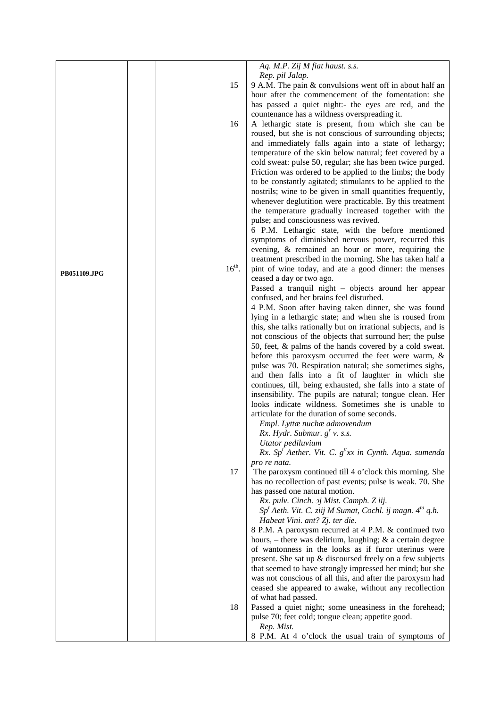|              |          | Aq. M.P. Zij M fiat haust. s.s.                                                                                   |
|--------------|----------|-------------------------------------------------------------------------------------------------------------------|
|              |          | Rep. pil Jalap.                                                                                                   |
|              | 15       | 9 A.M. The pain & convulsions went off in about half an                                                           |
|              |          | hour after the commencement of the fomentation: she                                                               |
|              |          | has passed a quiet night:- the eyes are red, and the                                                              |
|              |          | countenance has a wildness overspreading it.                                                                      |
|              | 16       | A lethargic state is present, from which she can be                                                               |
|              |          | roused, but she is not conscious of surrounding objects;                                                          |
|              |          | and immediately falls again into a state of lethargy;<br>temperature of the skin below natural; feet covered by a |
|              |          | cold sweat: pulse 50, regular; she has been twice purged.                                                         |
|              |          | Friction was ordered to be applied to the limbs; the body                                                         |
|              |          | to be constantly agitated; stimulants to be applied to the                                                        |
|              |          | nostrils; wine to be given in small quantities frequently,                                                        |
|              |          | whenever deglutition were practicable. By this treatment                                                          |
|              |          | the temperature gradually increased together with the                                                             |
|              |          | pulse; and consciousness was revived.                                                                             |
|              |          | 6 P.M. Lethargic state, with the before mentioned                                                                 |
|              |          | symptoms of diminished nervous power, recurred this                                                               |
|              |          | evening, & remained an hour or more, requiring the                                                                |
|              |          | treatment prescribed in the morning. She has taken half a                                                         |
| PB051109.JPG | $16th$ . | pint of wine today, and ate a good dinner: the menses                                                             |
|              |          | ceased a day or two ago.                                                                                          |
|              |          | Passed a tranquil night - objects around her appear                                                               |
|              |          | confused, and her brains feel disturbed.<br>4 P.M. Soon after having taken dinner, she was found                  |
|              |          | lying in a lethargic state; and when she is roused from                                                           |
|              |          | this, she talks rationally but on irrational subjects, and is                                                     |
|              |          | not conscious of the objects that surround her; the pulse                                                         |
|              |          | 50, feet, & palms of the hands covered by a cold sweat.                                                           |
|              |          | before this paroxysm occurred the feet were warm, $\&$                                                            |
|              |          | pulse was 70. Respiration natural; she sometimes sighs,                                                           |
|              |          | and then falls into a fit of laughter in which she                                                                |
|              |          | continues, till, being exhausted, she falls into a state of                                                       |
|              |          | insensibility. The pupils are natural; tongue clean. Her                                                          |
|              |          | looks indicate wildness. Sometimes she is unable to                                                               |
|              |          | articulate for the duration of some seconds.<br>Empl. Lyttæ nuchæ admovendum                                      |
|              |          | Rx. Hydr. Submur. $g'$ v. s.s.                                                                                    |
|              |          | Utator pediluvium                                                                                                 |
|              |          | Rx. Sp <sup>t</sup> Aether. Vit. C. $g''xx$ in Cynth. Aqua. sumenda                                               |
|              |          | pro re nata.                                                                                                      |
|              | 17       | The paroxysm continued till 4 o'clock this morning. She                                                           |
|              |          | has no recollection of past events; pulse is weak. 70. She                                                        |
|              |          | has passed one natural motion.                                                                                    |
|              |          | Rx. pulv. Cinch. 2j Mist. Camph. Z iij.                                                                           |
|              |          | $Spt$ Aeth. Vit. C. ziij M Sumat, Cochl. ij magn. $4^{ta}$ q.h.                                                   |
|              |          | Habeat Vini. ant? Zj. ter die.                                                                                    |
|              |          | 8 P.M. A paroxysm recurred at 4 P.M. & continued two                                                              |
|              |          | hours, $-$ there was delirium, laughing; $\&$ a certain degree                                                    |
|              |          | of wantonness in the looks as if furor uterinus were<br>present. She sat up & discoursed freely on a few subjects |
|              |          | that seemed to have strongly impressed her mind; but she                                                          |
|              |          | was not conscious of all this, and after the paroxysm had                                                         |
|              |          | ceased she appeared to awake, without any recollection                                                            |
|              |          | of what had passed.                                                                                               |
|              | 18       | Passed a quiet night; some uneasiness in the forehead;                                                            |
|              |          | pulse 70; feet cold; tongue clean; appetite good.                                                                 |
|              |          | Rep. Mist.                                                                                                        |
|              |          | 8 P.M. At 4 o'clock the usual train of symptoms of                                                                |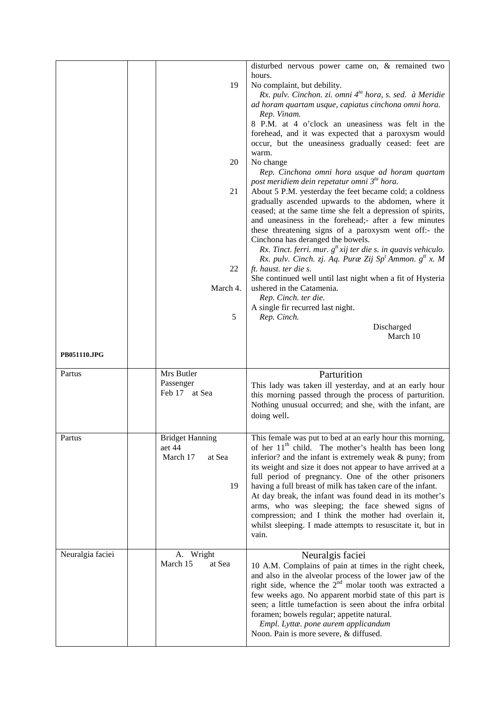|                  | 19                                                    | disturbed nervous power came on, & remained two<br>hours.<br>No complaint, but debility.<br>Rx. pulv. Cinchon. zi. omni 4 <sup>ta</sup> hora, s. sed. à Meridie<br>ad horam quartam usque, capiatus cinchona omni hora.<br>Rep. Vinam.<br>8 P.M. at 4 o'clock an uneasiness was felt in the<br>forehead, and it was expected that a paroxysm would<br>occur, but the uneasiness gradually ceased: feet are<br>warm.                                                                                                                                                                                                         |
|------------------|-------------------------------------------------------|-----------------------------------------------------------------------------------------------------------------------------------------------------------------------------------------------------------------------------------------------------------------------------------------------------------------------------------------------------------------------------------------------------------------------------------------------------------------------------------------------------------------------------------------------------------------------------------------------------------------------------|
|                  | 20<br>21                                              | No change<br>Rep. Cinchona omni hora usque ad horam quartam<br>post meridiem dein repetatur omni 3 <sup>ta</sup> hora.<br>About 5 P.M. yesterday the feet became cold; a coldness<br>gradually ascended upwards to the abdomen, where it<br>ceased; at the same time she felt a depression of spirits,<br>and uneasiness in the forehead;- after a few minutes<br>these threatening signs of a paroxysm went off:- the<br>Cinchona has deranged the bowels.<br>Rx. Tinct. ferri. mur. $g^{tt}$ xij ter die s. in quavis vehiculo.                                                                                           |
| PB051110.JPG     | 22<br>March 4.<br>5                                   | Rx. pulv. Cinch. zj. Aq. Puræ Zij Sp <sup>t</sup> Ammon. g <sup>tt</sup> x. M<br>ft. haust. ter die s.<br>She continued well until last night when a fit of Hysteria<br>ushered in the Catamenia.<br>Rep. Cinch. ter die.<br>A single fir recurred last night.<br>Rep. Cinch.<br>Discharged<br>March 10                                                                                                                                                                                                                                                                                                                     |
|                  |                                                       |                                                                                                                                                                                                                                                                                                                                                                                                                                                                                                                                                                                                                             |
| Partus           | Mrs Butler<br>Passenger<br>Feb 17 at Sea              | Parturition<br>This lady was taken ill yesterday, and at an early hour<br>this morning passed through the process of parturition.<br>Nothing unusual occurred; and she, with the infant, are<br>doing well.                                                                                                                                                                                                                                                                                                                                                                                                                 |
| Partus           | Bridget Hanning<br>aet 44<br>March 17<br>at Sea<br>19 | This female was put to bed at an early hour this morning,<br>of her 11 <sup>th</sup> child. The mother's health has been long<br>inferior? and the infant is extremely weak & puny; from<br>its weight and size it does not appear to have arrived at a<br>full period of pregnancy. One of the other prisoners<br>having a full breast of milk has taken care of the infant.<br>At day break, the infant was found dead in its mother's<br>arms, who was sleeping; the face shewed signs of<br>compression; and I think the mother had overlain it,<br>whilst sleeping. I made attempts to resuscitate it, but in<br>vain. |
| Neuralgia faciei | A. Wright<br>March 15<br>at Sea                       | Neuralgis faciei<br>10 A.M. Complains of pain at times in the right cheek,<br>and also in the alveolar process of the lower jaw of the<br>right side, whence the $2nd$ molar tooth was extracted a                                                                                                                                                                                                                                                                                                                                                                                                                          |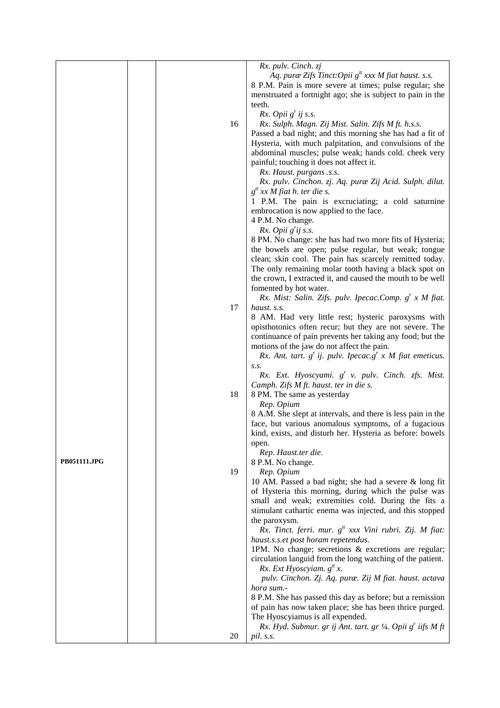|                     |    | Rx. pulv. Cinch. zj                                           |
|---------------------|----|---------------------------------------------------------------|
|                     |    | Aq. puræ Zifs Tinct: Opii $g^t$ xxx M fiat haust. s.s.        |
|                     |    | 8 P.M. Pain is more severe at times; pulse regular; she       |
|                     |    | menstruated a fortnight ago; she is subject to pain in the    |
|                     |    | teeth.                                                        |
|                     |    | Rx. Opii $g'$ ij s.s.                                         |
|                     | 16 | Rx. Sulph. Magn. Zij Mist. Salin. Zifs M ft. h.s.s.           |
|                     |    | Passed a bad night; and this morning she has had a fit of     |
|                     |    | Hysteria, with much palpitation, and convulsions of the       |
|                     |    | abdominal muscles; pulse weak; hands cold. cheek very         |
|                     |    | painful; touching it does not affect it.                      |
|                     |    | Rx. Haust. purgans .s.s.                                      |
|                     |    | Rx. pulv. Cinchon. zj. Aq. puræ Zij Acid. Sulph. dilut.       |
|                     |    | $g^t$ xx M fiat h. ter die s.                                 |
|                     |    | 1 P.M. The pain is excruciating; a cold saturnine             |
|                     |    | embrocation is now applied to the face.                       |
|                     |    | 4 P.M. No change.                                             |
|                     |    | Rx. Opii $g'$ ij s.s.                                         |
|                     |    | 8 PM. No change: she has had two more fits of Hysteria;       |
|                     |    | the bowels are open; pulse regular, but weak; tongue          |
|                     |    | clean; skin cool. The pain has scarcely remitted today.       |
|                     |    | The only remaining molar tooth having a black spot on         |
|                     |    | the crown, I extracted it, and caused the mouth to be well    |
|                     |    | fomented by hot water.                                        |
|                     |    | Rx. Mist: Salin. Zifs. pulv. Ipecac.Comp. $g^{r}$ x M fiat.   |
|                     | 17 | haust. s.s.                                                   |
|                     |    | 8 AM. Had very little rest; hysteric paroxysms with           |
|                     |    | opisthotonics often recur; but they are not severe. The       |
|                     |    | continuance of pain prevents her taking any food; but the     |
|                     |    | motions of the jaw do not affect the pain.                    |
|                     |    | Rx. Ant. tart. $g'$ ij. pulv. Ipecac. $g'$ x M fiat emeticus. |
|                     |    | S.S.                                                          |
|                     |    | Rx. Ext. Hyoscyami. g' v. pulv. Cinch. zfs. Mist.             |
|                     |    | Camph. Zifs M ft. haust. ter in die s.                        |
|                     | 18 | 8 PM. The same as yesterday                                   |
|                     |    | Rep. Opium                                                    |
|                     |    | 8 A.M. She slept at intervals, and there is less pain in the  |
|                     |    | face, but various anomalous symptoms, of a fugacious          |
|                     |    | kind, exists, and disturb her. Hysteria as before: bowels     |
|                     |    | open.<br>Rep. Haust.ter die.                                  |
| <b>PB051111.JPG</b> |    | 8 P.M. No change.                                             |
|                     | 19 | Rep. Opium                                                    |
|                     |    | 10 AM. Passed a bad night; she had a severe & long fit        |
|                     |    | of Hysteria this morning, during which the pulse was          |
|                     |    | small and weak; extremities cold. During the fits a           |
|                     |    | stimulant cathartic enema was injected, and this stopped      |
|                     |    | the paroxysm.                                                 |
|                     |    | Rx. Tinct. ferri. mur. $g^{tt}$ xxx Vini rubri. Zij. M fiat:  |
|                     |    | haust.s.s.et post horam repetendus.                           |
|                     |    | 1PM. No change; secretions & excretions are regular;          |
|                     |    | circulation languid from the long watching of the patient.    |
|                     |    | Rx. Ext Hyoscyiam. $g^t x$ .                                  |
|                     |    | pulv. Cinchon. Zj. Aq. puræ. Zij M fiat. haust. actava        |
|                     |    | hora sum.-                                                    |
|                     |    | 8 P.M. She has passed this day as before; but a remission     |
|                     |    | of pain has now taken place; she has been thrice purged.      |
|                     |    | The Hyoscyiamus is all expended.                              |
|                     |    | Rx. Hyd. Submur. gr ij Ant. tart. gr 1/4. Opii g' iifs M ft   |
|                     | 20 | pil. s.s.                                                     |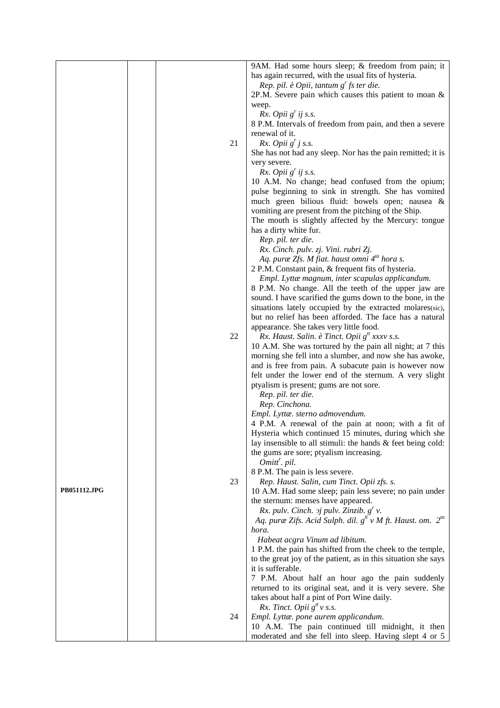|                     |    | 9AM. Had some hours sleep; & freedom from pain; it                                               |
|---------------------|----|--------------------------------------------------------------------------------------------------|
|                     |    | has again recurred, with the usual fits of hysteria.                                             |
|                     |    | Rep. pil. è Opii, tantum $gr$ fs ter die.                                                        |
|                     |    | 2P.M. Severe pain which causes this patient to moan $\&$                                         |
|                     |    | weep.                                                                                            |
|                     |    | Rx. Opii $g'$ ij s.s.                                                                            |
|                     |    | 8 P.M. Intervals of freedom from pain, and then a severe                                         |
|                     |    | renewal of it.                                                                                   |
|                     | 21 | Rx. Opii $g'$ j s.s.                                                                             |
|                     |    | She has not had any sleep. Nor has the pain remitted; it is                                      |
|                     |    | very severe.                                                                                     |
|                     |    | Rx. Opii $g'$ ij s.s.                                                                            |
|                     |    | 10 A.M. No change; head confused from the opium;                                                 |
|                     |    | pulse beginning to sink in strength. She has vomited                                             |
|                     |    | much green bilious fluid: bowels open; nausea &                                                  |
|                     |    | vomiting are present from the pitching of the Ship.                                              |
|                     |    | The mouth is slightly affected by the Mercury: tongue                                            |
|                     |    | has a dirty white fur.                                                                           |
|                     |    | Rep. pil. ter die.                                                                               |
|                     |    | Rx. Cinch. pulv. zj. Vini. rubri Zj.<br>Aq. puræ Zfs. M fiat. haust omni 4 <sup>ta</sup> hora s. |
|                     |    | 2 P.M. Constant pain, & frequent fits of hysteria.                                               |
|                     |    | Empl. Lyttæ magnum, inter scapulas applicandum.                                                  |
|                     |    | 8 P.M. No change. All the teeth of the upper jaw are                                             |
|                     |    | sound. I have scarified the gums down to the bone, in the                                        |
|                     |    | situations lately occupied by the extracted molares(sic),                                        |
|                     |    | but no relief has been afforded. The face has a natural                                          |
|                     |    | appearance. She takes very little food.                                                          |
|                     | 22 | Rx. Haust. Salin. è Tinct. Opii $g^t$ xxxv s.s.                                                  |
|                     |    | 10 A.M. She was tortured by the pain all night; at 7 this                                        |
|                     |    | morning she fell into a slumber, and now she has awoke,                                          |
|                     |    | and is free from pain. A subacute pain is however now                                            |
|                     |    | felt under the lower end of the sternum. A very slight                                           |
|                     |    | ptyalism is present; gums are not sore.                                                          |
|                     |    | Rep. pil. ter die.                                                                               |
|                     |    | Rep. Cinchona.                                                                                   |
|                     |    | Empl. Lyttæ. sterno admovendum.                                                                  |
|                     |    | 4 P.M. A renewal of the pain at noon; with a fit of                                              |
|                     |    | Hysteria which continued 15 minutes, during which she                                            |
|                     |    | lay insensible to all stimuli: the hands & feet being cold:                                      |
|                     |    | the gums are sore; ptyalism increasing.                                                          |
|                     |    | Omitt <sup>r</sup> . pil.                                                                        |
|                     | 23 | 8 P.M. The pain is less severe.<br>Rep. Haust. Salin, cum Tinct. Opii zfs. s.                    |
| <b>PB051112.JPG</b> |    | 10 A.M. Had some sleep; pain less severe; no pain under                                          |
|                     |    | the sternum: menses have appeared.                                                               |
|                     |    | Rx. pulv. Cinch. $\sigma j$ pulv. Zinzib. $g^{r}$ v.                                             |
|                     |    | Aq. puræ Zifs. Acid Sulph. dil. $g^t v M$ ft. Haust. om. $2^{ta}$                                |
|                     |    | hora.                                                                                            |
|                     |    | Habeat acgra Vinum ad libitum.                                                                   |
|                     |    | 1 P.M. the pain has shifted from the cheek to the temple,                                        |
|                     |    | to the great joy of the patient, as in this situation she says                                   |
|                     |    | it is sufferable.                                                                                |
|                     |    | 7 P.M. About half an hour ago the pain suddenly                                                  |
|                     |    | returned to its original seat, and it is very severe. She                                        |
|                     |    | takes about half a pint of Port Wine daily.                                                      |
|                     |    | Rx. Tinct. Opii $g^t v$ s.s.                                                                     |
|                     | 24 | Empl. Lyttæ. pone aurem applicandum.                                                             |
|                     |    | 10 A.M. The pain continued till midnight, it then                                                |
|                     |    | moderated and she fell into sleep. Having slept 4 or 5                                           |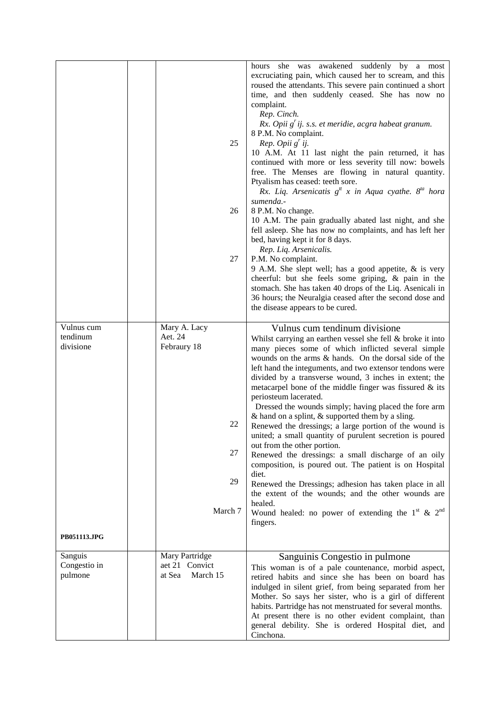|                                     |                                                                     | hours she was awakened suddenly by a most<br>excruciating pain, which caused her to scream, and this<br>roused the attendants. This severe pain continued a short<br>time, and then suddenly ceased. She has now no<br>complaint.<br>Rep. Cinch.<br>$Rx.$ Opii $g'$ ij. s.s. et meridie, acgra habeat granum.<br>8 P.M. No complaint.                                                                                                                                                                                                                                                                                                                                                                                                                                                                                                                                                                                                                                                                                  |
|-------------------------------------|---------------------------------------------------------------------|------------------------------------------------------------------------------------------------------------------------------------------------------------------------------------------------------------------------------------------------------------------------------------------------------------------------------------------------------------------------------------------------------------------------------------------------------------------------------------------------------------------------------------------------------------------------------------------------------------------------------------------------------------------------------------------------------------------------------------------------------------------------------------------------------------------------------------------------------------------------------------------------------------------------------------------------------------------------------------------------------------------------|
|                                     | 25                                                                  | Rep. Opii $g'$ ij.<br>10 A.M. At 11 last night the pain returned, it has<br>continued with more or less severity till now: bowels<br>free. The Menses are flowing in natural quantity.<br>Ptyalism has ceased: teeth sore.<br>Rx. Liq. Arsenicatis $g^{tt}$ x in Aqua cyathe. $8^{ta}$ hora<br>sumenda.-                                                                                                                                                                                                                                                                                                                                                                                                                                                                                                                                                                                                                                                                                                               |
|                                     | 26                                                                  | 8 P.M. No change.<br>10 A.M. The pain gradually abated last night, and she<br>fell asleep. She has now no complaints, and has left her<br>bed, having kept it for 8 days.<br>Rep. Liq. Arsenicalis.                                                                                                                                                                                                                                                                                                                                                                                                                                                                                                                                                                                                                                                                                                                                                                                                                    |
|                                     | 27                                                                  | P.M. No complaint.<br>9 A.M. She slept well; has a good appetite, $\&$ is very<br>cheerful: but she feels some griping, & pain in the<br>stomach. She has taken 40 drops of the Liq. Asenicali in<br>36 hours; the Neuralgia ceased after the second dose and<br>the disease appears to be cured.                                                                                                                                                                                                                                                                                                                                                                                                                                                                                                                                                                                                                                                                                                                      |
| Vulnus cum<br>tendinum<br>divisione | Mary A. Lacy<br>Aet. 24<br>Febraury 18<br>22<br>27<br>29<br>March 7 | Vulnus cum tendinum divisione<br>Whilst carrying an earthen vessel she fell & broke it into<br>many pieces some of which inflicted several simple<br>wounds on the arms & hands. On the dorsal side of the<br>left hand the integuments, and two extensor tendons were<br>divided by a transverse wound, 3 inches in extent; the<br>metacarpel bone of the middle finger was fissured & its<br>periosteum lacerated.<br>Dressed the wounds simply; having placed the fore arm<br>$\&$ hand on a splint, $\&$ supported them by a sling.<br>Renewed the dressings; a large portion of the wound is<br>united; a small quantity of purulent secretion is poured<br>out from the other portion.<br>Renewed the dressings: a small discharge of an oily<br>composition, is poured out. The patient is on Hospital<br>diet.<br>Renewed the Dressings; adhesion has taken place in all<br>the extent of the wounds; and the other wounds are<br>healed.<br>Wound healed: no power of extending the $1st$ & $2nd$<br>fingers. |
| PB051113.JPG                        |                                                                     |                                                                                                                                                                                                                                                                                                                                                                                                                                                                                                                                                                                                                                                                                                                                                                                                                                                                                                                                                                                                                        |
| Sanguis<br>Congestio in<br>pulmone  | Mary Partridge<br>aet 21 Convict<br>at Sea<br>March 15              | Sanguinis Congestio in pulmone<br>This woman is of a pale countenance, morbid aspect,<br>retired habits and since she has been on board has<br>indulged in silent grief, from being separated from her<br>Mother. So says her sister, who is a girl of different<br>habits. Partridge has not menstruated for several months.<br>At present there is no other evident complaint, than<br>general debility. She is ordered Hospital diet, and<br>Cinchona.                                                                                                                                                                                                                                                                                                                                                                                                                                                                                                                                                              |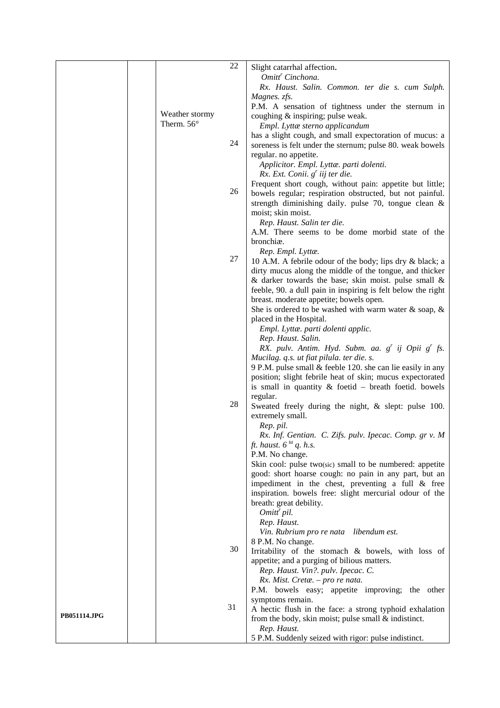|                     |                | 22 | Slight catarrhal affection.                                                                            |
|---------------------|----------------|----|--------------------------------------------------------------------------------------------------------|
|                     |                |    | Omitt <sup>r</sup> Cinchona.                                                                           |
|                     |                |    | Rx. Haust. Salin. Common. ter die s. cum Sulph.                                                        |
|                     |                |    | Magnes. zfs.<br>P.M. A sensation of tightness under the sternum in                                     |
|                     | Weather stormy |    | coughing & inspiring; pulse weak.                                                                      |
|                     | Therm. 56°     |    | Empl. Lyttæ sterno applicandum                                                                         |
|                     |                | 24 | has a slight cough, and small expectoration of mucus: a                                                |
|                     |                |    | soreness is felt under the sternum; pulse 80. weak bowels<br>regular. no appetite.                     |
|                     |                |    | Applicitor. Empl. Lyttæ. parti dolenti.                                                                |
|                     |                |    | $Rx.$ Ext. Conii. $g'$ iij ter die.                                                                    |
|                     |                |    | Frequent short cough, without pain: appetite but little;                                               |
|                     |                | 26 | bowels regular; respiration obstructed, but not painful.                                               |
|                     |                |    | strength diminishing daily. pulse 70, tongue clean &<br>moist; skin moist.                             |
|                     |                |    | Rep. Haust. Salin ter die.                                                                             |
|                     |                |    | A.M. There seems to be dome morbid state of the                                                        |
|                     |                |    | bronchiæ.                                                                                              |
|                     |                | 27 | Rep. Empl. Lyttæ.<br>10 A.M. A febrile odour of the body; lips dry & black; a                          |
|                     |                |    | dirty mucus along the middle of the tongue, and thicker                                                |
|                     |                |    | & darker towards the base; skin moist. pulse small $\&$                                                |
|                     |                |    | feeble, 90. a dull pain in inspiring is felt below the right                                           |
|                     |                |    | breast. moderate appetite; bowels open.<br>She is ordered to be washed with warm water $\&$ soap, $\&$ |
|                     |                |    | placed in the Hospital.                                                                                |
|                     |                |    | Empl. Lyttæ. parti dolenti applic.                                                                     |
|                     |                |    | Rep. Haust. Salin.                                                                                     |
|                     |                |    | RX. pulv. Antim. Hyd. Subm. aa. g' ij Opii g' fs.<br>Mucilag. q.s. ut fiat pilula. ter die. s.         |
|                     |                |    | 9 P.M. pulse small & feeble 120. she can lie easily in any                                             |
|                     |                |    | position; slight febrile heat of skin; mucus expectorated                                              |
|                     |                |    | is small in quantity $\&$ foetid – breath foetid. bowels                                               |
|                     |                | 28 | regular.<br>Sweated freely during the night, & slept: pulse 100.                                       |
|                     |                |    | extremely small.                                                                                       |
|                     |                |    | Rep. pil.                                                                                              |
|                     |                |    | Rx. Inf. Gentian. C. Zifs. pulv. Ipecac. Comp. gr v. M                                                 |
|                     |                |    | ft. haust. $6^{ta}$ q. h.s.<br>P.M. No change.                                                         |
|                     |                |    | Skin cool: pulse two(sic) small to be numbered: appetite                                               |
|                     |                |    | good: short hoarse cough: no pain in any part, but an                                                  |
|                     |                |    | impediment in the chest, preventing a full $\&$ free                                                   |
|                     |                |    | inspiration. bowels free: slight mercurial odour of the<br>breath: great debility.                     |
|                     |                |    | Omitt' pil.                                                                                            |
|                     |                |    | Rep. Haust.                                                                                            |
|                     |                |    | Vin. Rubrium pro re nata libendum est.                                                                 |
|                     |                | 30 | 8 P.M. No change.<br>Irritability of the stomach & bowels, with loss of                                |
|                     |                |    | appetite; and a purging of bilious matters.                                                            |
|                     |                |    | Rep. Haust. Vin?. pulv. Ipecac. C.                                                                     |
|                     |                |    | Rx. Mist. Cretæ. - pro re nata.                                                                        |
|                     |                |    | P.M. bowels easy; appetite improving; the other                                                        |
|                     |                | 31 | symptoms remain.<br>A hectic flush in the face: a strong typhoid exhalation                            |
| <b>PB051114.JPG</b> |                |    | from the body, skin moist; pulse small $&$ indistinct.                                                 |
|                     |                |    | Rep. Haust.                                                                                            |
|                     |                |    | 5 P.M. Suddenly seized with rigor: pulse indistinct.                                                   |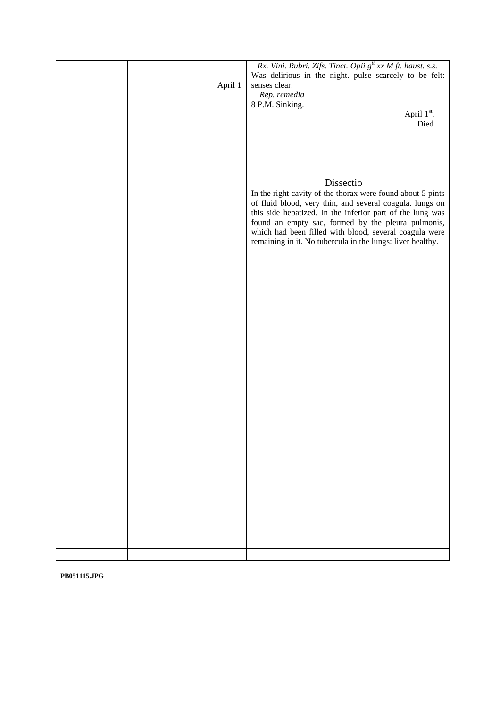|  | April 1 | Rx. Vini. Rubri. Zifs. Tinct. Opii g <sup>tt</sup> xx M ft. haust. s.s.<br>Was delirious in the night. pulse scarcely to be felt:<br>senses clear.<br>Rep. remedia<br>8 P.M. Sinking.<br>April 1 <sup>st</sup> .<br>Died                                                                                         |
|--|---------|------------------------------------------------------------------------------------------------------------------------------------------------------------------------------------------------------------------------------------------------------------------------------------------------------------------|
|  |         | Dissectio<br>In the right cavity of the thorax were found about 5 pints<br>of fluid blood, very thin, and several coagula. lungs on<br>this side hepatized. In the inferior part of the lung was<br>found an empty sac, formed by the pleura pulmonis,<br>which had been filled with blood, several coagula were |
|  |         | remaining in it. No tubercula in the lungs: liver healthy.                                                                                                                                                                                                                                                       |
|  |         |                                                                                                                                                                                                                                                                                                                  |
|  |         |                                                                                                                                                                                                                                                                                                                  |
|  |         |                                                                                                                                                                                                                                                                                                                  |

**PB051115.JPG**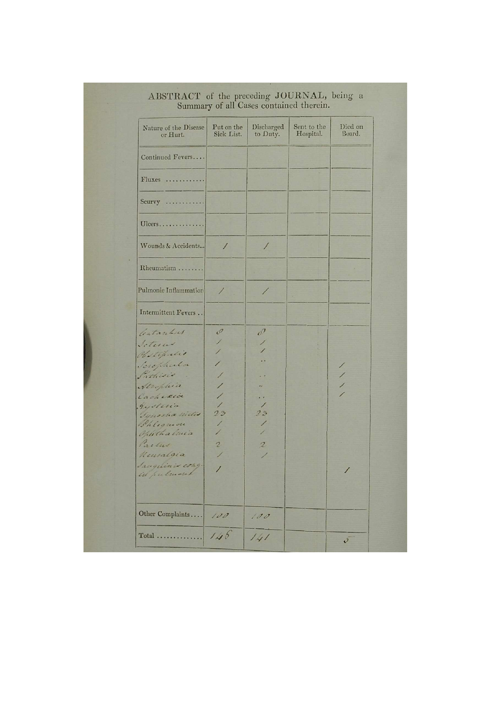| Nature of the Disease<br>or Hurt. | Put on the<br>Sick List. | Discharged<br>to Duty.      | Sent to the<br>Hospital. | Died on<br>Board. |
|-----------------------------------|--------------------------|-----------------------------|--------------------------|-------------------|
| Continued Fevers                  |                          |                             |                          |                   |
| Fluxes                            |                          |                             |                          |                   |
| $Scurvy$                          |                          |                             |                          |                   |
| Ulcers                            |                          |                             |                          |                   |
| Wounds & Accidents                | $\prime$                 | $\sqrt{2}$                  |                          |                   |
| Rheumatism                        |                          |                             |                          |                   |
| Pulmonic Inflammation             | $\prime$                 | 1                           |                          |                   |
| Intermittent Fevers               |                          |                             |                          |                   |
| Gatanhus                          | $\mathcal{O}$            | $\mathcal{O}^{\mathcal{F}}$ |                          |                   |
| Seturas                           | 1                        |                             |                          |                   |
| Clastification                    | 1                        |                             |                          |                   |
| Scraphenta                        | 1                        |                             |                          |                   |
| Sathisis                          | Ϊ                        |                             |                          |                   |
| Attophia                          | ∕                        | ×é.                         |                          |                   |
| Cachesia                          | 1                        | $\cdot$ $\cdot$             |                          |                   |
| gysteria                          | $\prime$<br>23           | $\prime$<br>23              |                          |                   |
| Synocha midis<br>Philipmon        | 1                        |                             |                          |                   |
| Optithalinia                      | 1                        |                             |                          |                   |
| Partus                            | $\overline{c}$           | $\mathcal{Z}$               |                          |                   |
| Neuralgia                         |                          |                             |                          |                   |
| Sauguinia ethy.                   |                          |                             |                          |                   |
| ill pulmont                       | $\prime$                 |                             |                          |                   |
| Other Complaints                  | 100                      | 100                         |                          |                   |
|                                   |                          |                             |                          |                   |